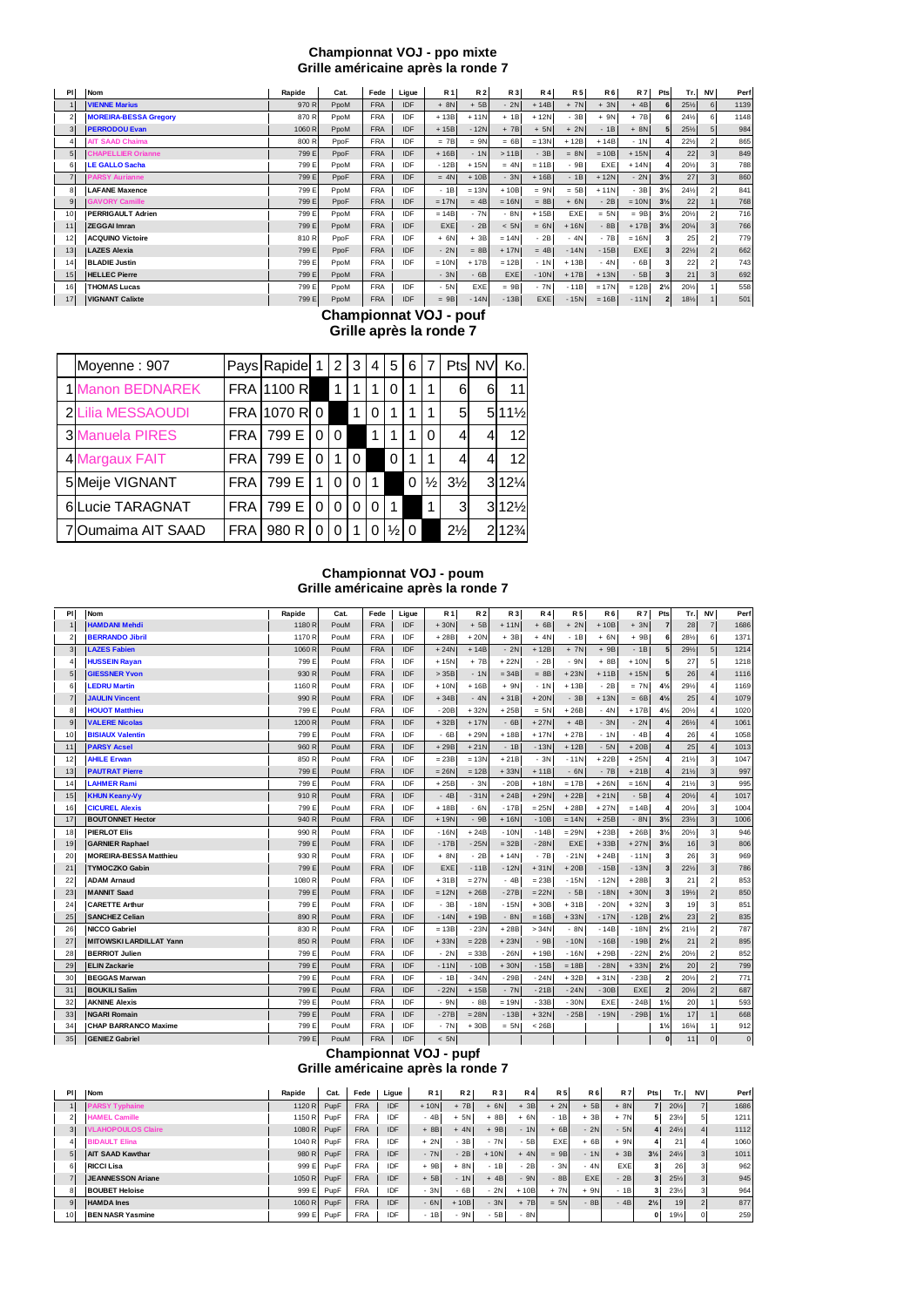#### **Championnat VOJ - ppo mixte Grille américaine après la ronde 7**

| PI             | <b>Nom</b>                   | Rapide | Cat. | Fede       | Ligue      | <b>R1</b> | <b>R2</b> | R 3     | <b>R4</b>  | <b>R5</b> | <b>R6</b> | <b>R7</b> | Pts            | Tr.             | <b>NV</b> | Perf |
|----------------|------------------------------|--------|------|------------|------------|-----------|-----------|---------|------------|-----------|-----------|-----------|----------------|-----------------|-----------|------|
|                | <b>VIENNE Marius</b>         | 970 R  | PpoM | <b>FRA</b> | IDF        | $+8N$     | $+5B$     | $-2N$   | $+14B$     | $+ 7N$    | $+ 3N$    | $+4B$     |                | $25\frac{1}{2}$ | 6         | 1139 |
| 2              | <b>MOREIRA-BESSA Gregory</b> | 870 R  | PpoM | <b>FRA</b> | IDF        | $+13B$    | $+11N$    | $+1B$   | $+12N$     | $-3B$     | $+ 9N$    | $+7B$     |                | 24%             | 6         | 1148 |
|                | <b>PERRODOU Evan</b>         | 1060R  | PpoM | <b>FRA</b> | IDF        | $+15B$    | $-12N$    | $+ 7B$  | $+ 5N$     | $+ 2N$    | $-1B$     | $+ 8N$    |                | $25\frac{1}{2}$ |           | 984  |
| 4              | <b>AIT SAAD Chaima</b>       | 800 R  | PpoF | <b>FRA</b> | IDF        | $= 7B$    | $= 9N$    | $= 6B$  | $= 13N$    | $+12B$    | $+14B$    | $-1N$     |                | $22\frac{1}{2}$ |           | 865  |
| 5 <sup>1</sup> | <b>CHAPELLIER Orianne</b>    | 799 E  | PpoF | <b>FRA</b> | <b>IDF</b> | $+16B$    | $-1N$     | >11B    | $-3B$      | $= 8N$    | $= 10B$   | $+15N$    |                | 22              |           | 849  |
| 6              | <b>LE GALLO Sacha</b>        | 799 E  | PpoM | <b>FRA</b> | IDF        | $-12B$    | $+15N$    | $= 4N$  | $= 11B$    | $-9B$     | EXE       | $+14N$    |                | 201/2           |           | 788  |
| $\overline{7}$ | <b>PARSY Aurianne</b>        | 799 E  | PpoF | <b>FRA</b> | IDF        | $= 4N$    | $+10B$    | $-3N$   | $+16B$     | $-1B$     | $+12N$    | $-2N$     | $3\frac{1}{2}$ | 27              |           | 860  |
| 8              | <b>LAFANE Maxence</b>        | 799 E  | PpoM | <b>FRA</b> | IDF        | $-1B$     | $= 13N$   | $+10B$  | $= 9N$     | $= 5B$    | $+11N$    | $-3B$     | $3\frac{1}{2}$ | 24%             |           | 841  |
| 9              | <b>GAVORY Camille</b>        | 799 E  | PpoF | <b>FRA</b> | IDF        | $= 17N$   | $= 4B$    | $= 16N$ | $= 8B$     | $+ 6N$    | $-2B$     | $= 10N$   | $3\frac{1}{2}$ | 22              |           | 768  |
| 10             | <b>PERRIGAULT Adrien</b>     | 799 E  | PpoM | <b>FRA</b> | IDF        | $= 14B$   | $-7N$     | $-8N$   | $+15B$     | EXE       | $= 5N$    | $= 9B$    | $3\frac{1}{2}$ | 20%             |           | 716  |
| 11             | <b>ZEGGAI Imran</b>          | 799 E  | PpoM | <b>FRA</b> | IDF        | EXE       | $-2B$     | $<$ 5N  | $= 6N$     | $+16N$    | $-8B$     | $+17B$    | $3\frac{1}{2}$ | 20%             |           | 766  |
| 12             | <b>ACQUINO Victoire</b>      | 810 R  | PpoF | <b>FRA</b> | IDF        | $+ 6N$    | $+3B$     | $= 14N$ | $-2B$      | $-4N$     | $-7B$     | $= 16N$   |                | 25              |           | 779  |
| 13             | <b>LAZES Alexia</b>          | 799 E  | PpoF | <b>FRA</b> | IDF        | $-2N$     | $= 8B$    | $+17N$  | $= 4B$     | $-14N$    | $-15B$    | EXE       |                | $22\frac{1}{2}$ |           | 662  |
| 14             | <b>BLADIE Justin</b>         | 799 E  | PpoM | <b>FRA</b> | IDF        | $= 10N$   | $+17B$    | $= 12B$ | $-1N$      | $+13B$    | $-4N$     | $-6B$     |                | 22              |           | 743  |
| 15             | <b>HELLEC Pierre</b>         | 799 E  | PpoM | <b>FRA</b> |            | $-3N$     | $-6B$     | EXE     | $-10N$     | $+17B$    | $+13N$    | $-5B$     |                | 21              |           | 692  |
| 16             | <b>THOMAS Lucas</b>          | 799 E  | PpoM | <b>FRA</b> | IDF        | $-5N$     | EXE       | $= 9B$  | $-7N$      | $-11B$    | $= 17N$   | $= 12B$   | $2\frac{1}{2}$ | 201/2           |           | 558  |
| 17             | <b>VIGNANT Calixte</b>       | 799 E  | PpoM | <b>FRA</b> | <b>IDF</b> | $= 9B$    | $-14N$    | $-13B$  | <b>EXE</b> | $-15N$    | $= 16B$   | $-11N$    |                | 181/2           |           | 501  |

**Championnat VOJ - pouf Grille après la ronde 7**

| Moyenne: 907            |            | Pays Rapide 1 |          | 2            | 3              | 4           | 5        | 6        | 7             |                | Ptsl NV | Ko.              |
|-------------------------|------------|---------------|----------|--------------|----------------|-------------|----------|----------|---------------|----------------|---------|------------------|
| <b>1 Manon BEDNAREK</b> |            | FRA 1100 R    |          | 1            |                | 1           | 0        |          |               | 6              | 6       | 11               |
| 2 Lilia MESSAOUDI       |            | FRA 1070 R 0  |          |              | $\overline{1}$ | 0           |          |          | 1             | 5              |         | $511\frac{1}{2}$ |
| <b>3 Manuela PIRES</b>  | <b>FRA</b> | 799 E         | 0        | $\Omega$     |                |             |          |          | 0             | 4              |         | 12               |
| 4 Margaux FAIT          | <b>FRA</b> | 799 E         | $\Omega$ | $\mathbf{1}$ | $\Omega$       |             | $\Omega$ | 1        | 1             | 4              |         | 12               |
| 5 Meije VIGNANT         | <b>FRA</b> | 799 E         | 1        | 0            | 0              | $\mathbf 1$ |          | $\Omega$ | $\frac{1}{2}$ | $3\frac{1}{2}$ |         | $312\%$          |
| 6Lucie TARAGNAT         | <b>FRA</b> | 799 E         | 0        | $\Omega$     | 0              | 0           | 1        |          | 1             | 3              |         | 312%             |
| 7 Oumaima AIT SAAD      | <b>FRA</b> | 980 R         | 0        | 0            |                | 0           | ⅓        | 0        |               | $2\frac{1}{2}$ | 2       | $12\frac{3}{4}$  |

## **Championnat VOJ - poum Grille américaine après la ronde 7**

| PI             | Nom                            | Rapide | Cat. | Fede       | Ligue      | R 1     | <b>R2</b> | R <sub>3</sub> | <b>R4</b> | <b>R5</b>  | R <sub>6</sub> | <b>R7</b>  | Pts                     | Tr.             | <b>NV</b>                | Per      |
|----------------|--------------------------------|--------|------|------------|------------|---------|-----------|----------------|-----------|------------|----------------|------------|-------------------------|-----------------|--------------------------|----------|
| $\mathbf{1}$   | <b>HAMDANI Mehdi</b>           | 1180 R | PouM | <b>FRA</b> | IDF        | $+30N$  | $+5B$     | $+11N$         | $+6B$     | $+2N$      | $+10B$         | $+ 3N$     | $\overline{z}$          | 28              | $\overline{7}$           | 1686     |
| $\overline{2}$ | <b>BERRANDO Jibril</b>         | 1170 R | PouM | <b>FRA</b> | IDF        | $+28B$  | $+20N$    | $+3B$          | $+4N$     | $-1B$      | $+ 6N$         | $+9B$      | 6                       | 281/2           | 6                        | 1371     |
| $\mathbf 3$    | <b>LAZES Fabien</b>            | 1060 R | PouM | <b>FRA</b> | IDF        | $+24N$  | $+14B$    | $-2N$          | $+12B$    | $+ 7N$     | $+9B$          | $-1B$      | 5                       | 291/2           | 5                        | 1214     |
| $\overline{4}$ | <b>HUSSEIN Rayan</b>           | 799 E  | PouM | <b>FRA</b> | IDF        | $+15N$  | $+ 7B$    | +22N           | $-2B$     | - 9N       | $+8B$          | $+10N$     | 5                       | 27              | 5                        | 1218     |
| $\sqrt{5}$     | <b>GIESSNER Yvon</b>           | 930 R  | PouM | <b>FRA</b> | <b>IDF</b> | >35B    | $-1N$     | $= 34B$        | $= 8B$    | $+23N$     | $+11B$         | $+15N$     | 5                       | 26              | $\Delta$                 | 1116     |
| 6              | <b>LEDRU Martin</b>            | 1160R  | PouM | <b>FRA</b> | IDF        | $+10N$  | $+16B$    | + 9N           | $-1N$     | $+13B$     | $-2B$          | $= 7N$     | $4\frac{1}{2}$          | 291/2           |                          | 1169     |
| $\overline{7}$ | <b>JAULIN Vincent</b>          | 990 R  | PouM | <b>FRA</b> | IDF        | $+34B$  | $-4N$     | $+31B$         | $+20N$    | $-3B$      | $+13N$         | $= 6B$     | $4\frac{1}{2}$          | 25              |                          | 1079     |
| 8              | <b>HOUOT Matthieu</b>          | 799 E  | PouM | <b>FRA</b> | IDF        | $-20B$  | $+32N$    | $+25B$         | $= 5N$    | $+26B$     | $-4N$          | $+17B$     | $4\frac{1}{2}$          | 20%             |                          | 1020     |
| $\mathsf g$    | <b>VALERE Nicolas</b>          | 1200 R | PouM | <b>FRA</b> | IDF        | $+32B$  | $+17N$    | $-6B$          | $+27N$    | $+4B$      | $-3N$          | $-2N$      |                         | 261/2           |                          | 1061     |
| 10             | <b>BISIAUX Valentin</b>        | 799 E  | PouM | <b>FRA</b> | IDF        | $-6B$   | $+29N$    | $+18B$         | $+17N$    | $+27B$     | $-1N$          | $-4B$      |                         | 26              |                          | 1058     |
| 11             | <b>PARSY Acsel</b>             | 960 R  | PouM | <b>FRA</b> | IDF        | $+29B$  | $+21N$    | $-1B$          | $-13N$    | $+12B$     | $-5N$          | $+20B$     |                         | 25              |                          | 1013     |
| 12             | <b>AHILE Erwan</b>             | 850 R  | PouM | <b>FRA</b> | IDF        | $= 23B$ | $= 13N$   | $+21B$         | $-3N$     | $-11N$     | $+22B$         | $+25N$     |                         | $21\frac{1}{2}$ | 3                        | 1047     |
| 13             | <b>PAUTRAT Pierre</b>          | 799 E  | PouM | <b>FRA</b> | <b>IDF</b> | $= 26N$ | $= 12B$   | $+33N$         | $+11B$    | $-6N$      | $-7B$          | $+21B$     |                         | $21\frac{1}{2}$ | 3                        | 997      |
| 14             | <b>LAHMER Rami</b>             | 799 E  | PouM | <b>FRA</b> | IDF        | $+25B$  | $-3N$     | $-20B$         | $+18N$    | $= 17B$    | $+26N$         | $= 16N$    |                         | $21\frac{1}{2}$ | 3                        | 995      |
| 15             | <b>KHUN Keany-Vy</b>           | 910 R  | PouM | <b>FRA</b> | IDF        | $-4B$   | $-31N$    | $+24B$         | $+29N$    | $+22B$     | $+21N$         | $-5B$      |                         | $20\frac{1}{2}$ | $\Delta$                 | 1017     |
| 16             | <b>CICUREL Alexis</b>          | 799 E  | PouM | <b>FRA</b> | IDF        | $+18B$  | - 6N      | $-17B$         | $= 25N$   | $+28B$     | $+27N$         | $= 14B$    |                         | 201/2           | 3                        | 1004     |
| 17             | <b>BOUTONNET Hector</b>        | 940 R  | PouM | <b>FRA</b> | IDF        | $+19N$  | $-9B$     | $+16N$         | $-10B$    | $= 14N$    | $+25B$         | $-8N$      | $3\frac{1}{2}$          | $23\frac{1}{2}$ | 3                        | 1006     |
| 18             | <b>PIERLOT Elis</b>            | 990 R  | PouM | <b>FRA</b> | IDF        | $-16N$  | $+24B$    | $-10N$         | $-14B$    | $= 29N$    | $+23B$         | $+26B$     | $3\frac{1}{2}$          | 201/2           | 3                        | 946      |
| 19             | <b>GARNIER Raphael</b>         | 799 E  | PouM | <b>FRA</b> | <b>IDF</b> | $-17B$  | $-25N$    | $= 32B$        | $-28N$    | <b>EXE</b> | $+33B$         | $+27N$     | $3\frac{1}{2}$          | 16              | 3                        | 806      |
| 20             | <b>MOREIRA-BESSA Matthieu</b>  | 930 R  | PouM | <b>FRA</b> | IDF        | $+8N$   | $-2B$     | $+14N$         | $-7B$     | $-21N$     | $+24B$         | $-11N$     | 3                       | 26              | 3                        | 969      |
| 21             | <b>TYMOCZKO Gabin</b>          | 799 E  | PouM | <b>FRA</b> | <b>IDF</b> | EXE     | $-11B$    | $-12N$         | $+31N$    | $+20B$     | $-15B$         | $-13N$     | $\overline{\mathbf{3}}$ | $22\frac{1}{2}$ | 3                        | 786      |
| 22             | <b>ADAM Arnaud</b>             | 1080 R | PouM | <b>FRA</b> | IDF        | $+31B$  | $= 27N$   | $-4B$          | $= 23B$   | $-15N$     | $-12N$         | $+28B$     | 3                       | 21              | $\mathfrak{p}$           | 853      |
| 23             | <b>MANNIT Saad</b>             | 799 E  | PouM | <b>FRA</b> | <b>IDF</b> | $= 12N$ | $+26B$    | $-27B$         | $=22N$    | $-5B$      | $-18N$         | $+30N$     | 3                       | 191/2           | $\overline{\phantom{a}}$ | 850      |
| 24             | <b>CARETTE Arthur</b>          | 799 E  | PouM | <b>FRA</b> | IDF        | $-3B$   | $-18N$    | $-15N$         | $+30B$    | $+31B$     | $-20N$         | $+32N$     | 3                       | 19              | ٩                        | 851      |
| 25             | <b>SANCHEZ Celian</b>          | 890 R  | PouM | <b>FRA</b> | IDF        | $-14N$  | $+19B$    | $-8N$          | $= 16B$   | $+33N$     | $-17N$         | $-12B$     | $2\frac{1}{2}$          | 23              | $\overline{2}$           | 835      |
| 26             | <b>NICCO Gabriel</b>           | 830 R  | PouM | <b>FRA</b> | IDF        | $= 13B$ | $-23N$    | $+28B$         | >34N      | $-8N$      | $-14B$         | $-18N$     | $2\frac{1}{2}$          | 21%             | $\mathfrak{p}$           | 787      |
| 27             | <b>MITOWSKI LARDILLAT Yann</b> | 850 R  | PouM | <b>FRA</b> | <b>IDF</b> | $+33N$  | $= 22B$   | $+23N$         | $-9B$     | $-10N$     | $-16B$         | $-19B$     | $2\frac{1}{2}$          | 21              | $\overline{2}$           | 895      |
| 28             | <b>BERRIOT Julien</b>          | 799 E  | PouM | <b>FRA</b> | <b>IDF</b> | $-2N$   | $= 33B$   | $-26N$         | $+19B$    | $-16N$     | $+29B$         | $-22N$     | $2\frac{1}{2}$          | 201/2           | $\overline{2}$           | 852      |
| 29             | <b>ELIN Zackarie</b>           | 799 E  | PouM | <b>FRA</b> | <b>IDF</b> | $-11N$  | $-10B$    | $+30N$         | $-15B$    | $= 18B$    | $-28N$         | $+33N$     | $2\frac{1}{2}$          | 20              | $\overline{2}$           | 799      |
| 30             | <b>BEGGAS Marwan</b>           | 799 E  | PouM | <b>FRA</b> | IDF        | $-1B$   | $-34N$    | $-29B$         | $-24N$    | $+32B$     | $+31N$         | $-23B$     | 2                       | 20%             | $\overline{2}$           | 771      |
| 31             | <b>BOUKILI Salim</b>           | 799 E  | PouM | <b>FRA</b> | <b>IDF</b> | $-22N$  | $+15B$    | $-7N$          | $-21B$    | $-24N$     | $-30B$         | <b>EXE</b> | $\overline{2}$          | 201/2           | $\overline{2}$           | 687      |
| 32             | <b>AKNINE Alexis</b>           | 799 E  | PouM | <b>FRA</b> | IDF        | $-9N$   | $-8B$     | $= 19N$        | $-33B$    | $-30N$     | EXE            | $-24B$     | $1\frac{1}{2}$          | 20              |                          | 593      |
| 33             | <b>NGARI Romain</b>            | 799 E  | PouM | <b>FRA</b> | IDF        | $-27B$  | $= 28N$   | $-13B$         | $+32N$    | $-25B$     | $-19N$         | $-29B$     | $1\frac{1}{2}$          | 17              |                          | 668      |
| 34             | <b>CHAP BARRANCO Maxime</b>    | 799 E  | PouM | <b>FRA</b> | IDF        | $-7N$   | $+30B$    | $= 5N$         | < 26B     |            |                |            | $1\frac{1}{2}$          | 16%             |                          | 912      |
| 35             | <b>GENIEZ Gabriel</b>          | 799 E  | PouM | <b>FRA</b> | IDF        | $<$ 5N  |           |                |           |            |                |            | $\bf{0}$                | 11              | $\Omega$                 | $\Omega$ |

## **Championnat VOJ - pupf Grille américaine après la ronde 7**

| PI             | <b>Nom</b>                | Rapide | Cat. | Fede       | Ligue      | <b>R1</b>      | <b>R2</b> | R 3       | <b>R4</b> | <b>R5</b> | <b>R6</b>  | <b>R7</b>  | Pts            | Tr.   | <b>NV</b> | Perf |
|----------------|---------------------------|--------|------|------------|------------|----------------|-----------|-----------|-----------|-----------|------------|------------|----------------|-------|-----------|------|
|                | <b>PARSY Typhaine</b>     | 1120 R | PupF | <b>FRA</b> | <b>IDF</b> | $+10N$         | $+7B$     | 6N<br>$+$ | $+3B$     | $+ 2N$    | 5B         | $+ 8N$     |                | 201/2 |           | 1686 |
| $\overline{2}$ | <b>HAMEL Camille</b>      | 1150 R | PupF | <b>FRA</b> | IDF        | $-4B$          | $+ 5N$    | 8B        | $+ 6N$    | $-1B$     | 3B         | $+ 7N$     |                | 231/2 |           | 1211 |
| 3 <sup>1</sup> | <b>VLAHOPOULOS Claire</b> | 1080 R | PupF | <b>FRA</b> | <b>IDF</b> | 8 <sub>B</sub> | 4N<br>÷   | 9B        | $-1N$     | $+6B$     | $-2N$      | $-5N$      |                | 24%   |           | 1112 |
| $\overline{4}$ | <b>BIDAULT Elina</b>      | 1040 R | PupF | <b>FRA</b> | IDF        | $+2N$          | $-3B$     | $-7N$     | $-5B$     | EXE       | 6B         | $+ 9N$     |                | 21    |           | 1060 |
| 5 <sub>5</sub> | <b>AIT SAAD Kawthar</b>   | 980 R  | PupF | <b>FRA</b> | <b>IDF</b> | $-7N$          | $-2B$     | $+10N$    | $+4N$     | $= 9B$    | $-1N$      | $+3B$      | $3\frac{1}{2}$ | 24%   |           | 1011 |
| 6              | <b>RICCI Lisa</b>         | 999 E  | PupF | <b>FRA</b> | IDF        | $+9B$          | $+ 8N$    | $-1B$     | $-2B$     | $-3N$     | $-4N$      | <b>EXE</b> |                | 26    |           | 962  |
| 71             | <b>JEANNESSON Ariane</b>  | 1050 R | PupF | <b>FRA</b> | <b>IDF</b> | 5 <b>B</b>     | $-1N$     | 4B        | $-9N$     | $-8B$     | <b>EXE</b> | $-2B$      |                | 25%   |           | 945  |
| 8              | <b>BOUBET Heloise</b>     | 999 E  | PupF | <b>FRA</b> | IDF        | $-3N$          | $-6B$     | $-2N$     | $+10B$    | $+ 7N$    | $+ 9N$     | $-1B$      |                | 231/2 |           | 964  |
| 9 <sub>l</sub> | <b>HAMDA</b> Ines         | 1060 R | PupF | <b>FRA</b> | <b>IDF</b> | $-6N$          | $+10B$    | $-3N$     | $+ 7B$    | $= 5N$    | $-8B$      | $-4B$      | $2\frac{1}{2}$ | 19    |           | 877  |
| 10             | <b>BEN NASR Yasmine</b>   | 999 E  | PupF | <b>FRA</b> | IDF        | $-1B$          | $-9N$     | $-5B$     | $-8N$     |           |            |            |                | 19%   | $\Omega$  | 259  |